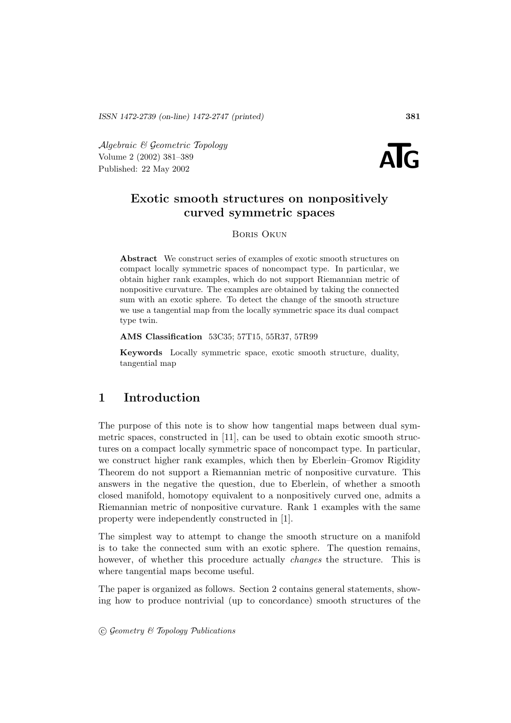Algebraic & Geometric Topology<br>
Volume 2 (2002) 381–389<br>
Published: 22 May 2002 Volume 2 (2002) 381–389



# **Exotic smooth structures on nonpositively curved symmetric spaces**

#### Boris Okun

**Abstract** We construct series of examples of exotic smooth structures on compact locally symmetric spaces of noncompact type. In particular, we obtain higher rank examples, which do not support Riemannian metric of nonpositive curvature. The examples are obtained by taking the connected sum with an exotic sphere. To detect the change of the smooth structure we use a tangential map from the locally symmetric space its dual compact type twin.

**AMS Classification** 53C35; 57T15, 55R37, 57R99

**Keywords** Locally symmetric space, exotic smooth structure, duality, tangential map

# **1 Introduction**

The purpose of this note is to show how tangential maps between dual symmetric spaces, constructed in [11], can be used to obtain exotic smooth structures on a compact locally symmetric space of noncompact type. In particular, we construct higher rank examples, which then by Eberlein–Gromov Rigidity Theorem do not support a Riemannian metric of nonpositive curvature. This answers in the negative the question, due to Eberlein, of whether a smooth closed manifold, homotopy equivalent to a nonpositively curved one, admits a Riemannian metric of nonpositive curvature. Rank 1 examples with the same property were independently constructed in [1].

The simplest way to attempt to change the smooth structure on a manifold is to take the connected sum with an exotic sphere. The question remains, however, of whether this procedure actually *changes* the structure. This is where tangential maps become useful.

The paper is organized as follows. Section 2 contains general statements, showing how to produce nontrivial (up to concordance) smooth structures of the

 $\odot$  Geometry & Topology Publications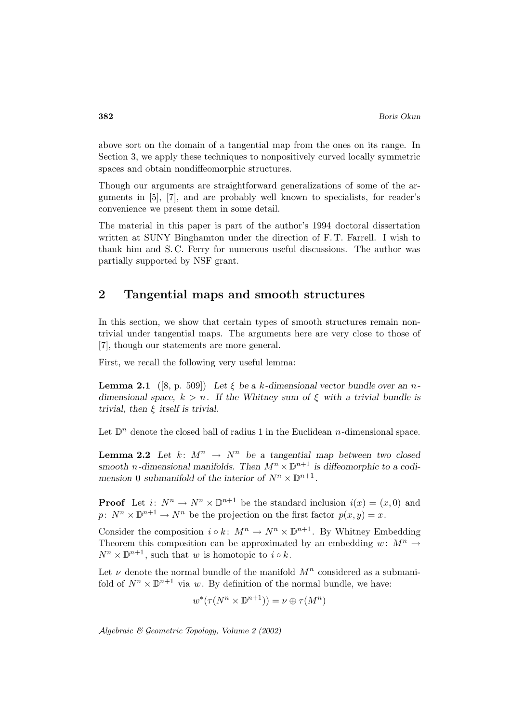above sort on the domain of a tangential map from the ones on its range. In Section 3, we apply these techniques to nonpositively curved locally symmetric spaces and obtain nondiffeomorphic structures.

Though our arguments are straightforward generalizations of some of the arguments in [5], [7], and are probably well known to specialists, for reader's convenience we present them in some detail.

The material in this paper is part of the author's 1994 doctoral dissertation written at SUNY Binghamton under the direction of F. T. Farrell. I wish to thank him and S. C. Ferry for numerous useful discussions. The author was partially supported by NSF grant.

## **2 Tangential maps and smooth structures**

In this section, we show that certain types of smooth structures remain nontrivial under tangential maps. The arguments here are very close to those of [7], though our statements are more general.

First, we recall the following very useful lemma:

**Lemma 2.1** ([8, p. 509]) Let  $\xi$  be a k-dimensional vector bundle over an n*dimensional space,*  $k > n$ . If the Whitney sum of  $\xi$  with a trivial bundle is *trivial, then* ξ *itself is trivial.*

Let  $\mathbb{D}^n$  denote the closed ball of radius 1 in the Euclidean *n*-dimensional space.

**Lemma 2.2** Let  $k: M^n \to N^n$  be a tangential map between two closed smooth *n*-dimensional manifolds. Then  $M^n \times \mathbb{D}^{n+1}$  is diffeomorphic to a codi*mension* 0 *submanifold* of the interior of  $N^n \times \mathbb{D}^{n+1}$ .

**Proof** Let  $i: N^n \to N^n \times \mathbb{D}^{n+1}$  be the standard inclusion  $i(x)=(x, 0)$  and  $p: N^n \times \mathbb{D}^{n+1} \to N^n$  be the projection on the first factor  $p(x, y) = x$ .

Consider the composition  $i \circ k$ :  $M^n \to N^n \times \mathbb{D}^{n+1}$ . By Whitney Embedding Theorem this composition can be approximated by an embedding  $w: M^n \to$  $N^n \times \mathbb{D}^{n+1}$ , such that w is homotopic to  $i \circ k$ .

Let  $\nu$  denote the normal bundle of the manifold  $M^n$  considered as a submanifold of  $N^n \times \mathbb{D}^{n+1}$  via w. By definition of the normal bundle, we have:

$$
w^*(\tau(N^n \times \mathbb{D}^{n+1})) = \nu \oplus \tau(M^n)
$$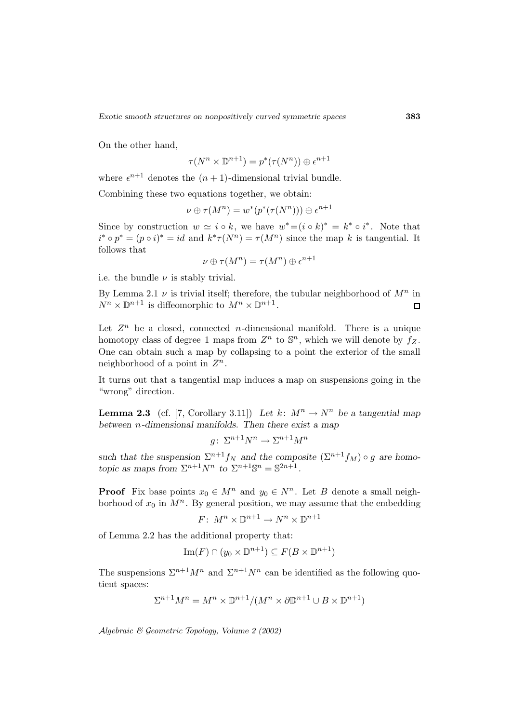On the other hand,

$$
\tau(N^n \times \mathbb{D}^{n+1}) = p^*(\tau(N^n)) \oplus \epsilon^{n+1}
$$

where  $\epsilon^{n+1}$  denotes the  $(n + 1)$ -dimensional trivial bundle.

Combining these two equations together, we obtain:

$$
\nu\oplus\tau(M^n)=w^*(p^*(\tau(N^n)))\oplus\epsilon^{n+1}
$$

Since by construction  $w \simeq i \circ k$ , we have  $w^* = (i \circ k)^* = k^* \circ i^*$ . Note that  $i^* \circ p^* = (p \circ i)^* = id$  and  $k^* \tau(N^n) = \tau(M^n)$  since the map k is tangential. It follows that

$$
\nu\oplus\tau(M^n)=\tau(M^n)\oplus\epsilon^{n+1}
$$

i.e. the bundle  $\nu$  is stably trivial.

By Lemma 2.1  $\nu$  is trivial itself; therefore, the tubular neighborhood of  $M^n$  in  $N^n \times \mathbb{D}^{n+1}$  is diffeomorphic to  $M^n \times \mathbb{D}^{n+1}$ .  $\Box$ 

Let  $Z^n$  be a closed, connected *n*-dimensional manifold. There is a unique homotopy class of degree 1 maps from  $Z^n$  to  $\mathbb{S}^n$ , which we will denote by  $f_Z$ . One can obtain such a map by collapsing to a point the exterior of the small neighborhood of a point in  $Z^n$ .

It turns out that a tangential map induces a map on suspensions going in the "wrong" direction.

**Lemma 2.3** (cf. [7, Corollary 3.11]) *Let*  $k: M^n \to N^n$  *be a tangential map between* n*-dimensional manifolds. Then there exist a map*

$$
g\colon \Sigma^{n+1}N^n \to \Sigma^{n+1}M^n
$$

such that the suspension  $\Sigma^{n+1} f_N$  and the composite  $(\Sigma^{n+1} f_M) \circ g$  are homo*topic as maps from*  $\Sigma^{n+1}N^n$  *to*  $\Sigma^{n+1}\mathbb{S}^n = \mathbb{S}^{2n+1}$ *.* 

**Proof** Fix base points  $x_0 \in M^n$  and  $y_0 \in N^n$ . Let B denote a small neighborhood of  $x_0$  in  $M^n$ . By general position, we may assume that the embedding

$$
F\colon M^n\times\mathbb{D}^{n+1}\to N^n\times\mathbb{D}^{n+1}
$$

of Lemma 2.2 has the additional property that:

$$
\operatorname{Im}(F) \cap (y_0 \times \mathbb{D}^{n+1}) \subseteq F(B \times \mathbb{D}^{n+1})
$$

The suspensions  $\Sigma^{n+1}M^n$  and  $\Sigma^{n+1}N^n$  can be identified as the following quotient spaces:

$$
\Sigma^{n+1}M^n = M^n \times \mathbb{D}^{n+1}/(M^n \times \partial \mathbb{D}^{n+1} \cup B \times \mathbb{D}^{n+1})
$$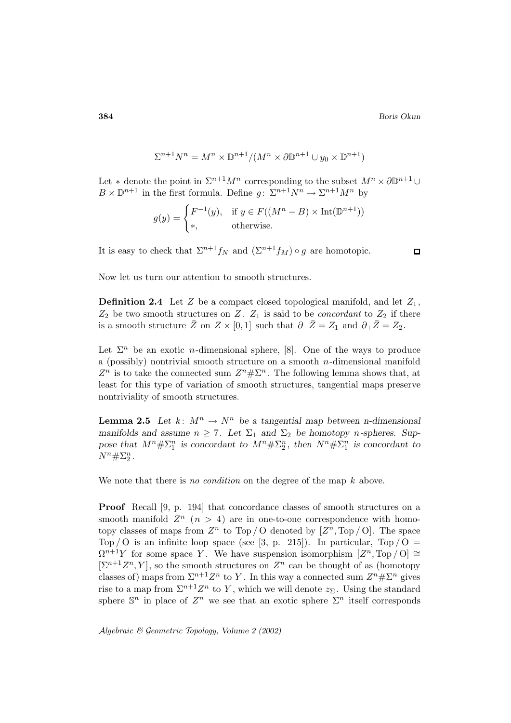$$
\Sigma^{n+1}N^n = M^n \times \mathbb{D}^{n+1}/(M^n \times \partial \mathbb{D}^{n+1} \cup y_0 \times \mathbb{D}^{n+1})
$$

Let ∗ denote the point in  $\Sigma^{n+1}M^n$  corresponding to the subset  $M^n\times\partial\mathbb{D}^{n+1}\cup$  $B \times \mathbb{D}^{n+1}$  in the first formula. Define  $g: \Sigma^{n+1}N^n \to \Sigma^{n+1}M^n$  by

$$
g(y) = \begin{cases} F^{-1}(y), & \text{if } y \in F((M^n - B) \times \text{Int}(\mathbb{D}^{n+1})) \\ *, & \text{otherwise.} \end{cases}
$$

It is easy to check that  $\Sigma^{n+1}f_N$  and  $(\Sigma^{n+1}f_M) \circ g$  are homotopic.

Now let us turn our attention to smooth structures.

**Definition 2.4** Let  $Z$  be a compact closed topological manifold, and let  $Z_1$ ,  $Z_2$  be two smooth structures on Z.  $Z_1$  is said to be *concordant* to  $Z_2$  if there is a smooth structure  $\overline{Z}$  on  $Z \times [0, 1]$  such that  $\partial_-\overline{Z} = Z_1$  and  $\partial_+\overline{Z} = Z_2$ .

Let  $\Sigma^n$  be an exotic *n*-dimensional sphere, [8]. One of the ways to produce a (possibly) nontrivial smooth structure on a smooth  $n$ -dimensional manifold  $Z^n$  is to take the connected sum  $Z^n \# \Sigma^n$ . The following lemma shows that, at least for this type of variation of smooth structures, tangential maps preserve nontriviality of smooth structures.

**Lemma 2.5** Let  $k: M^n \to N^n$  be a tangential map between n-dimensional *manifolds and assume*  $n \geq 7$ *. Let*  $\Sigma_1$  *and*  $\Sigma_2$  *be homotopy n*-spheres. Suppose that  $M^n \# \Sigma_1^n$  is concordant to  $M^n \# \Sigma_2^n$ , then  $N^n \# \Sigma_1^n$  is concordant to  $N^{n} \# \Sigma_{2}^{n}$ .

We note that there is no condition on the degree of the map  $k$  above.

**Proof** Recall [9, p. 194] that concordance classes of smooth structures on a smooth manifold  $Z^n$   $(n > 4)$  are in one-to-one correspondence with homotopy classes of maps from  $Z^n$  to Top / O denoted by  $[Z^n, Top / O]$ . The space Top / O is an infinite loop space (see [3, p. 215]). In particular,  $Top / O =$  $\Omega^{n+1}Y$  for some space Y. We have suspension isomorphism  $[Z^n, \text{Top}/\text{O}] \cong$  $[\Sigma^{n+1}Z^n, Y]$ , so the smooth structures on  $Z^n$  can be thought of as (homotopy classes of) maps from  $\Sigma^{n+1}Z^n$  to Y. In this way a connected sum  $Z^n \# \Sigma^n$  gives rise to a map from  $\Sigma^{n+1}Z^n$  to Y, which we will denote  $z_{\Sigma}$ . Using the standard sphere  $\mathbb{S}^n$  in place of  $Z^n$  we see that an exotic sphere  $\Sigma^n$  itself corresponds

Algebraic & Geometric Topology*, Volume 2 (2002)*

 $\Box$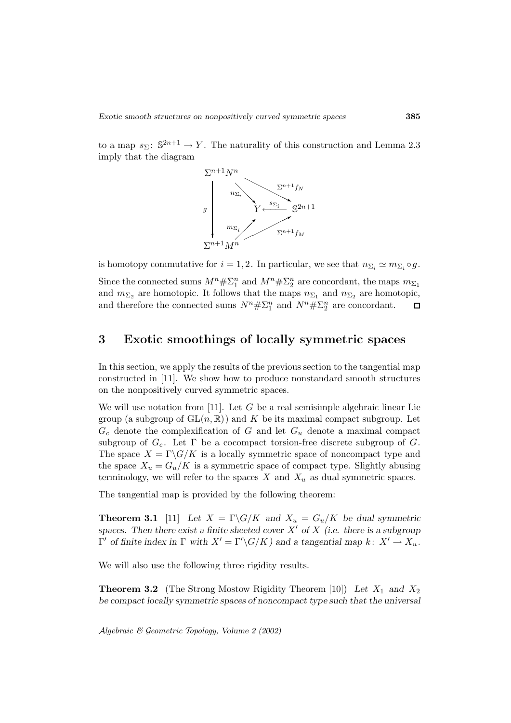to a map  $s_{\Sigma}$ :  $\mathbb{S}^{2n+1} \to Y$ . The naturality of this construction and Lemma 2.3 imply that the diagram



is homotopy commutative for  $i = 1, 2$ . In particular, we see that  $n_{\Sigma_i} \simeq m_{\Sigma_i} \circ g$ .

Since the connected sums  $M^n \# \Sigma_1^n$  and  $M^n \# \Sigma_2^n$  are concordant, the maps  $m_{\Sigma_1}$ and  $m_{\Sigma_2}$  are homotopic. It follows that the maps  $n_{\Sigma_1}$  and  $n_{\Sigma_2}$  are homotopic, and therefore the connected sums  $N^n \# \Sigma_1^n$  and  $N^n \# \Sigma_2^n$  are concordant.  $\Box$ 

## **3 Exotic smoothings of locally symmetric spaces**

In this section, we apply the results of the previous section to the tangential map constructed in [11]. We show how to produce nonstandard smooth structures on the nonpositively curved symmetric spaces.

We will use notation from [11]. Let  $G$  be a real semisimple algebraic linear Lie group (a subgroup of  $GL(n, \mathbb{R})$ ) and K be its maximal compact subgroup. Let  $G_c$  denote the complexification of G and let  $G_u$  denote a maximal compact subgroup of  $G_c$ . Let  $\Gamma$  be a cocompact torsion-free discrete subgroup of  $G$ . The space  $X = \Gamma \backslash G/K$  is a locally symmetric space of noncompact type and the space  $X_u = G_u/K$  is a symmetric space of compact type. Slightly abusing terminology, we will refer to the spaces  $X$  and  $X_u$  as dual symmetric spaces.

The tangential map is provided by the following theorem:

**Theorem 3.1** [11] Let  $X = \Gamma \backslash G/K$  and  $X_u = G_u/K$  be dual symmetric spaces. Then there exist a finite sheeted cover  $X'$  of  $X$  (i.e. there is a subgroup  $\Gamma'$  *of finite index in*  $\Gamma$  *with*  $X' = \Gamma' \backslash G/K$ *) and a tangential map*  $k: X' \to X_u$ *.* 

We will also use the following three rigidity results.

**Theorem 3.2** (The Strong Mostow Rigidity Theorem [10]) Let  $X_1$  and  $X_2$ *be compact locally symmetric spaces of noncompact type such that the universal*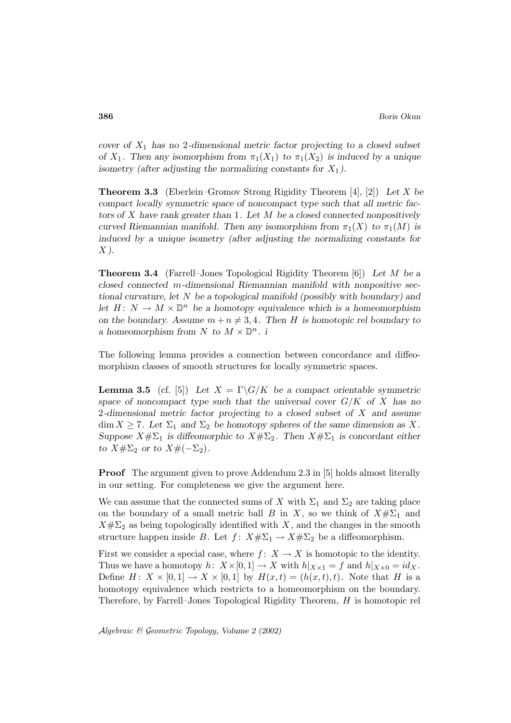*cover of* X<sup>1</sup> *has no* 2*-dimensional metric factor projecting to a closed subset of*  $X_1$ . Then any isomorphism from  $\pi_1(X_1)$  to  $\pi_1(X_2)$  is induced by a unique *isometry (after adjusting the normalizing constants for*  $X_1$ ).

**Theorem 3.3** (Eberlein–Gromov Strong Rigidity Theorem [4], [2]) *Let* X *be compact locally symmetric space of noncompact type such that all metric factors of* X *have rank greater than* 1*. Let* M *be a closed connected nonpositively curved Riemannian manifold. Then any isomorphism from*  $\pi_1(X)$  *to*  $\pi_1(M)$  *is induced by a unique isometry (after adjusting the normalizing constants for* X *).*

**Theorem 3.4** (Farrell–Jones Topological Rigidity Theorem [6]) *Let* M *be a closed connected* m*-dimensional Riemannian manifold with nonpositive sectional curvature, let* N *be a topological manifold (possibly with boundary) and let*  $H: N \to M \times \mathbb{D}^n$  *be a homotopy equivalence which is a homeomorphism on the boundary.* Assume  $m + n \neq 3, 4$ . Then H is homotopic rel boundary to *a* homeomorphism from N to  $M \times \mathbb{D}^n$ . *i* 

The following lemma provides a connection between concordance and diffeomorphism classes of smooth structures for locally symmetric spaces.

**Lemma 3.5** (cf. [5]) Let  $X = \Gamma \backslash G/K$  be a compact orientable symmetric *space of noncompact type such that the universal cover* G/K *of* X *has no* 2*-dimensional metric factor projecting to a closed subset of* X *and assume*  $\dim X \geq 7$ *. Let*  $\Sigma_1$  *and*  $\Sigma_2$  *be homotopy spheres of the same dimension as* X. *Suppose*  $X \# \Sigma_1$  *is diffeomorphic to*  $X \# \Sigma_2$ *. Then*  $X \# \Sigma_1$  *is concordant either to*  $X\#\Sigma_2$  *or to*  $X\#(-\Sigma_2)$ *.* 

**Proof** The argument given to prove Addendum 2.3 in [5] holds almost literally in our setting. For completeness we give the argument here.

We can assume that the connected sums of X with  $\Sigma_1$  and  $\Sigma_2$  are taking place on the boundary of a small metric ball B in X, so we think of  $X\#\Sigma_1$  and  $X \# \Sigma_2$  as being topologically identified with X, and the changes in the smooth structure happen inside B. Let  $f: X# \Sigma_1 \to X# \Sigma_2$  be a diffeomorphism.

First we consider a special case, where  $f: X \to X$  is homotopic to the identity. Thus we have a homotopy  $h: X\times [0,1] \to X$  with  $h|_{X\times 1} = f$  and  $h|_{X\times 0} = id_X$ . Define  $H: X \times [0,1] \rightarrow X \times [0,1]$  by  $H(x,t) = (h(x,t), t)$ . Note that H is a homotopy equivalence which restricts to a homeomorphism on the boundary. Therefore, by Farrell–Jones Topological Rigidity Theorem,  $H$  is homotopic rel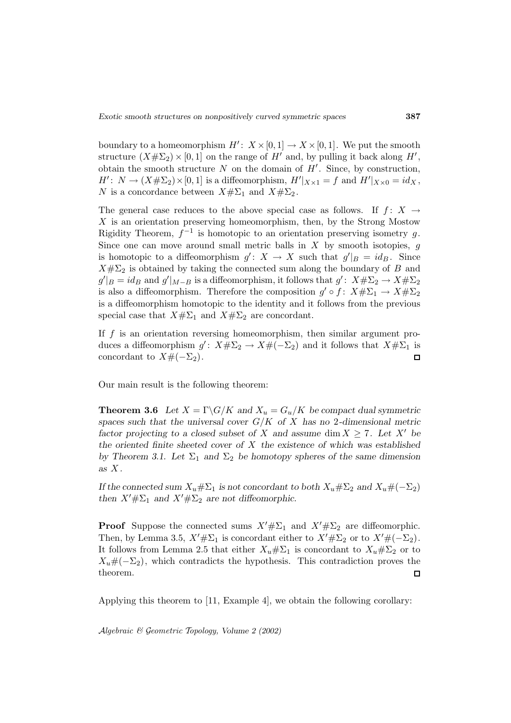boundary to a homeomorphism  $H' : X \times [0, 1] \to X \times [0, 1]$ . We put the smooth structure  $(X \# \Sigma_2) \times [0, 1]$  on the range of  $H'$  and, by pulling it back along  $H'$ , obtain the smooth structure N on the domain of  $H'$ . Since, by construction,  $H'$ :  $N \to (X \# \Sigma_2) \times [0, 1]$  is a diffeomorphism,  $H'|_{X \times 1} = f$  and  $H'|_{X \times 0} = id_X$ , N is a concordance between  $X\#\Sigma_1$  and  $X\#\Sigma_2$ .

The general case reduces to the above special case as follows. If  $f: X \rightarrow$  $X$  is an orientation preserving homeomorphism, then, by the Strong Mostow Rigidity Theorem,  $f^{-1}$  is homotopic to an orientation preserving isometry g. Since one can move around small metric balls in  $X$  by smooth isotopies,  $g$ is homotopic to a diffeomorphism  $g' : X \to X$  such that  $g'|_B = id_B$ . Since  $X \# \Sigma_2$  is obtained by taking the connected sum along the boundary of B and  $g'|_B = id_B$  and  $g'|_{M-B}$  is a diffeomorphism, it follows that  $g': X \# \Sigma_2 \to X \# \Sigma_2$ is also a diffeomorphism. Therefore the composition  $g' \circ f : X \# \Sigma_1 \to X \# \Sigma_2$ is a diffeomorphism homotopic to the identity and it follows from the previous special case that  $X\#\Sigma_1$  and  $X\#\Sigma_2$  are concordant.

If  $f$  is an orientation reversing homeomorphism, then similar argument produces a diffeomorphism  $g' : X \# \Sigma_2 \to X \# (-\Sigma_2)$  and it follows that  $X \# \Sigma_1$  is concordant to  $X \# (-\Sigma_2)$ . concordant to  $X#(-\Sigma_2)$ .

Our main result is the following theorem:

**Theorem 3.6** Let  $X = \Gamma \backslash G/K$  and  $X_u = G_u/K$  be compact dual symmetric *spaces such that the universal cover* G/K *of* X *has no* 2*-dimensional metric factor projecting to a closed subset of* X and assume dim  $X \geq 7$ . Let X' be *the oriented finite sheeted cover of* X *the existence of which was established by Theorem 3.1. Let*  $\Sigma_1$  *and*  $\Sigma_2$  *be homotopy spheres of the same dimension as* X *.*

*If the connected sum*  $X_u \# \Sigma_1$  *is not concordant to both*  $X_u \# \Sigma_2$  *and*  $X_u \# (-\Sigma_2)$ *then*  $X' \# \Sigma_1$  *and*  $X' \# \Sigma_2$  *are not diffeomorphic.* 

**Proof** Suppose the connected sums  $X' \# \Sigma_1$  and  $X' \# \Sigma_2$  are diffeomorphic. Then, by Lemma 3.5,  $X' \# \Sigma_1$  is concordant either to  $X' \# \Sigma_2$  or to  $X' \# (-\Sigma_2)$ . It follows from Lemma 2.5 that either  $X_u \# \Sigma_1$  is concordant to  $X_u \# \Sigma_2$  or to  $X_u \# (-\Sigma_2)$ , which contradicts the hypothesis. This contradiction proves the theorem. theorem.

Applying this theorem to [11, Example 4], we obtain the following corollary: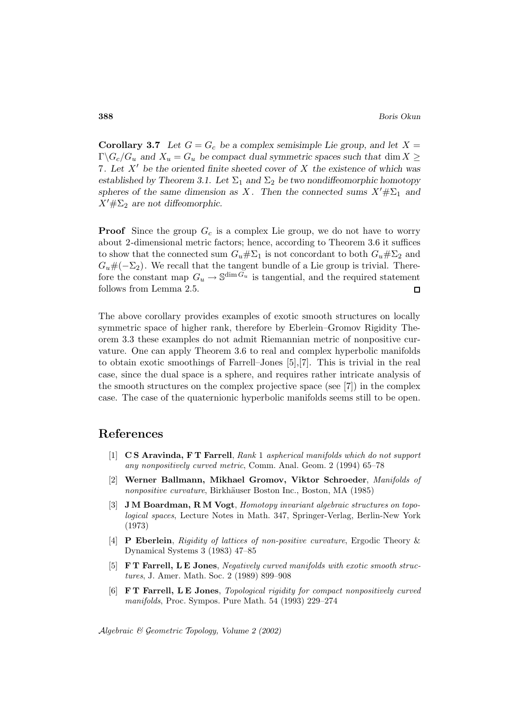**Corollary 3.7** Let  $G = G_c$  be a complex semisimple Lie group, and let  $X =$  $\Gamma \backslash G_c/G_u$  and  $X_u = G_u$  be compact dual symmetric spaces such that dim  $X \geq$ 7*. Let* X0 *be the oriented finite sheeted cover of* X *the existence of which was* established by Theorem 3.1. Let  $\Sigma_1$  and  $\Sigma_2$  be two nondiffeomorphic homotopy *spheres of the same dimension as X.* Then the connected sums  $X' \# \Sigma_1$  and  $X' \# \Sigma_2$  are not diffeomorphic.

**Proof** Since the group  $G_c$  is a complex Lie group, we do not have to worry about 2-dimensional metric factors; hence, according to Theorem 3.6 it suffices to show that the connected sum  $G_u \# \Sigma_1$  is not concordant to both  $G_u \# \Sigma_2$  and  $G_u#(-\Sigma_2)$ . We recall that the tangent bundle of a Lie group is trivial. Therefore the constant map  $G_u \to \mathbb{S}^{\dim \widetilde{G}_u}$  is tangential, and the required statement follows from Lemma 2.5. follows from Lemma 2.5.

The above corollary provides examples of exotic smooth structures on locally symmetric space of higher rank, therefore by Eberlein–Gromov Rigidity Theorem 3.3 these examples do not admit Riemannian metric of nonpositive curvature. One can apply Theorem 3.6 to real and complex hyperbolic manifolds to obtain exotic smoothings of Farrell–Jones [5],[7]. This is trivial in the real case, since the dual space is a sphere, and requires rather intricate analysis of the smooth structures on the complex projective space (see [7]) in the complex case. The case of the quaternionic hyperbolic manifolds seems still to be open.

### **References**

- [1] **C S Aravinda, F T Farrell**, Rank 1 aspherical manifolds which do not support any nonpositively curved metric, Comm. Anal. Geom. 2 (1994) 65–78
- [2] **Werner Ballmann, Mikhael Gromov, Viktor Schroeder**, Manifolds of nonpositive curvature, Birkhäuser Boston Inc., Boston, MA (1985)
- [3] **J M Boardman, R M Vogt**, Homotopy invariant algebraic structures on topological spaces, Lecture Notes in Math. 347, Springer-Verlag, Berlin-New York (1973)
- [4] **P Eberlein**, Rigidity of lattices of non-positive curvature, Ergodic Theory & Dynamical Systems 3 (1983) 47–85
- [5] **F T Farrell, L E Jones**, Negatively curved manifolds with exotic smooth structures, J. Amer. Math. Soc. 2 (1989) 899–908
- [6] **F T Farrell, L E Jones**, Topological rigidity for compact nonpositively curved manifolds, Proc. Sympos. Pure Math. 54 (1993) 229–274